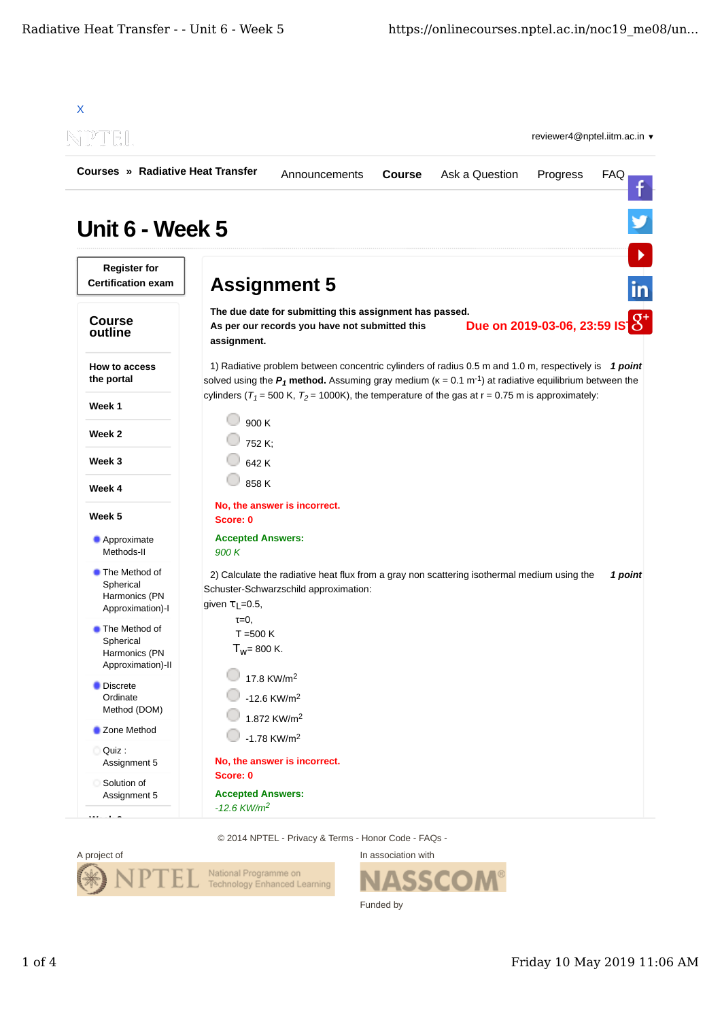| <b>Courses » Radiative Heat Transfer</b>                               |                                                                   |                                                                                                                                                                                                                                |               |                |                               |            |
|------------------------------------------------------------------------|-------------------------------------------------------------------|--------------------------------------------------------------------------------------------------------------------------------------------------------------------------------------------------------------------------------|---------------|----------------|-------------------------------|------------|
|                                                                        |                                                                   | Announcements                                                                                                                                                                                                                  | <b>Course</b> | Ask a Question | Progress                      | <b>FAQ</b> |
| Unit 6 - Week 5                                                        |                                                                   |                                                                                                                                                                                                                                |               |                |                               |            |
| <b>Register for</b><br><b>Certification exam</b>                       |                                                                   | <b>Assignment 5</b>                                                                                                                                                                                                            |               |                |                               | <u>in</u>  |
| <b>Course</b><br>outline                                               | assignment.                                                       | The due date for submitting this assignment has passed.<br>As per our records you have not submitted this                                                                                                                      |               |                | Due on 2019-03-06, 23:59 IS 8 |            |
| How to access<br>the portal                                            |                                                                   | 1) Radiative problem between concentric cylinders of radius 0.5 m and 1.0 m, respectively is 1 point<br>solved using the $P_1$ method. Assuming gray medium ( $k = 0.1$ m <sup>-1</sup> ) at radiative equilibrium between the |               |                |                               |            |
| Week 1                                                                 |                                                                   | cylinders ( $T_1$ = 500 K, $T_2$ = 1000K), the temperature of the gas at r = 0.75 m is approximately:                                                                                                                          |               |                |                               |            |
| Week 2                                                                 | 900 K<br>752 K;                                                   |                                                                                                                                                                                                                                |               |                |                               |            |
| Week 3                                                                 | 642 K                                                             |                                                                                                                                                                                                                                |               |                |                               |            |
| Week 4                                                                 | 858 K                                                             |                                                                                                                                                                                                                                |               |                |                               |            |
| Week 5                                                                 | Score: 0                                                          | No, the answer is incorrect.                                                                                                                                                                                                   |               |                |                               |            |
| Approximate<br>Methods-II                                              | <b>Accepted Answers:</b><br>900 K                                 |                                                                                                                                                                                                                                |               |                |                               |            |
| <b>The Method of</b><br>Spherical<br>Harmonics (PN<br>Approximation)-I | given $\tau_L$ =0.5,                                              | 2) Calculate the radiative heat flux from a gray non scattering isothermal medium using the<br>Schuster-Schwarzschild approximation:                                                                                           |               |                |                               | 1 point    |
| The Method of<br>Spherical<br>Harmonics (PN<br>Approximation)-II       | $\tau = 0$ ,<br>$T = 500 K$<br>$T_W = 800 K$ .                    |                                                                                                                                                                                                                                |               |                |                               |            |
| <b>Discrete</b><br>Ordinate<br>Method (DOM)                            |                                                                   | 17.8 KW/m <sup>2</sup><br>$-12.6$ KW/m <sup>2</sup><br>1.872 KW/m <sup>2</sup>                                                                                                                                                 |               |                |                               |            |
| Zone Method                                                            |                                                                   | $-1.78$ KW/m <sup>2</sup>                                                                                                                                                                                                      |               |                |                               |            |
| Assignment 5                                                           |                                                                   | No, the answer is incorrect.                                                                                                                                                                                                   |               |                |                               |            |
| Ouiz:<br>Solution of<br>Assignment 5                                   | Score: 0<br><b>Accepted Answers:</b><br>$-12.6$ KW/m <sup>2</sup> |                                                                                                                                                                                                                                |               |                |                               |            |

© 2014 NPTEL - Privacy & Terms - Honor Code - FAQs -



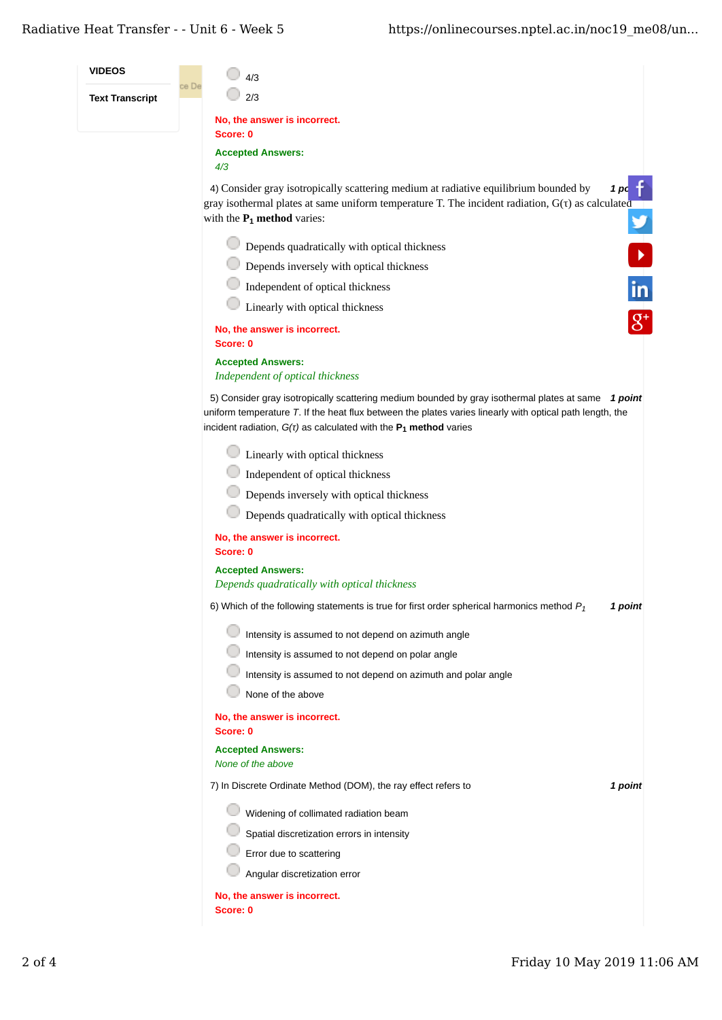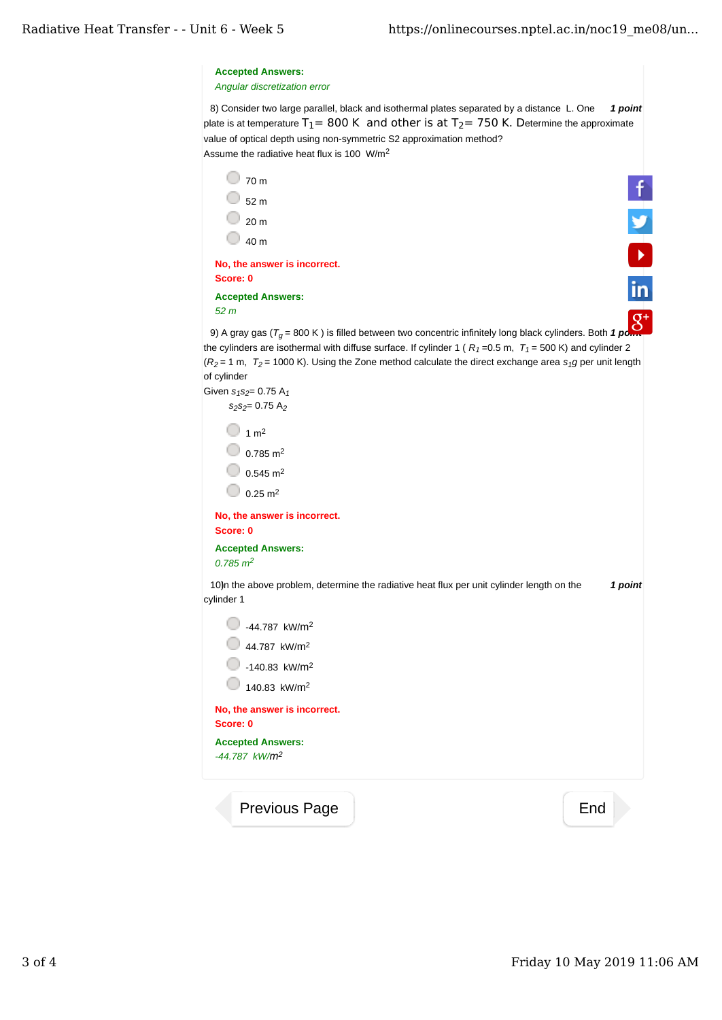| <b>Accepted Answers:</b><br>$-44.787$ kW/m <sup>2</sup>                                                                                                                                      |         |
|----------------------------------------------------------------------------------------------------------------------------------------------------------------------------------------------|---------|
| Score: 0                                                                                                                                                                                     |         |
| No, the answer is incorrect.                                                                                                                                                                 |         |
| 140.83 kW/m <sup>2</sup>                                                                                                                                                                     |         |
| $-140.83$ kW/m <sup>2</sup>                                                                                                                                                                  |         |
| 44.787 kW/m <sup>2</sup>                                                                                                                                                                     |         |
| -44.787 kW/m <sup>2</sup>                                                                                                                                                                    |         |
| 10)n the above problem, determine the radiative heat flux per unit cylinder length on the<br>cylinder 1                                                                                      | 1 point |
| <b>Accepted Answers:</b><br>$0.785 \, m^2$                                                                                                                                                   |         |
| Score: 0                                                                                                                                                                                     |         |
| No, the answer is incorrect.                                                                                                                                                                 |         |
| $0.25 \text{ m}^2$                                                                                                                                                                           |         |
| $0.545 \text{ m}^2$                                                                                                                                                                          |         |
|                                                                                                                                                                                              |         |
| $0.785 \text{ m}^2$                                                                                                                                                                          |         |
| $1 \text{ m}^2$                                                                                                                                                                              |         |
| $S_2S_2 = 0.75 A_2$                                                                                                                                                                          |         |
| of cylinder<br>Given $s_1s_2 = 0.75 A_1$                                                                                                                                                     |         |
| $(R_2 = 1 \text{ m}, T_2 = 1000 \text{ K})$ . Using the Zone method calculate the direct exchange area s <sub>1</sub> g per unit length                                                      |         |
| the cylinders are isothermal with diffuse surface. If cylinder 1 ( $R_1$ = 0.5 m, $T_1$ = 500 K) and cylinder 2                                                                              |         |
| 9) A gray gas ( $T_g$ = 800 K) is filled between two concentric infinitely long black cylinders. Both 1 pon                                                                                  |         |
| 52 <sub>m</sub>                                                                                                                                                                              |         |
| <b>Accepted Answers:</b>                                                                                                                                                                     |         |
| No, the answer is incorrect.<br>Score: 0                                                                                                                                                     |         |
|                                                                                                                                                                                              |         |
| 40 m                                                                                                                                                                                         |         |
| 20 <sub>m</sub>                                                                                                                                                                              |         |
| 52 <sub>m</sub>                                                                                                                                                                              |         |
| 70 m                                                                                                                                                                                         |         |
| Assume the radiative heat flux is 100 W/m <sup>2</sup>                                                                                                                                       |         |
| value of optical depth using non-symmetric S2 approximation method?                                                                                                                          |         |
| 8) Consider two large parallel, black and isothermal plates separated by a distance L. One<br>plate is at temperature $T_1 = 800$ K and other is at $T_2 = 750$ K. Determine the approximate | 1 point |
|                                                                                                                                                                                              |         |